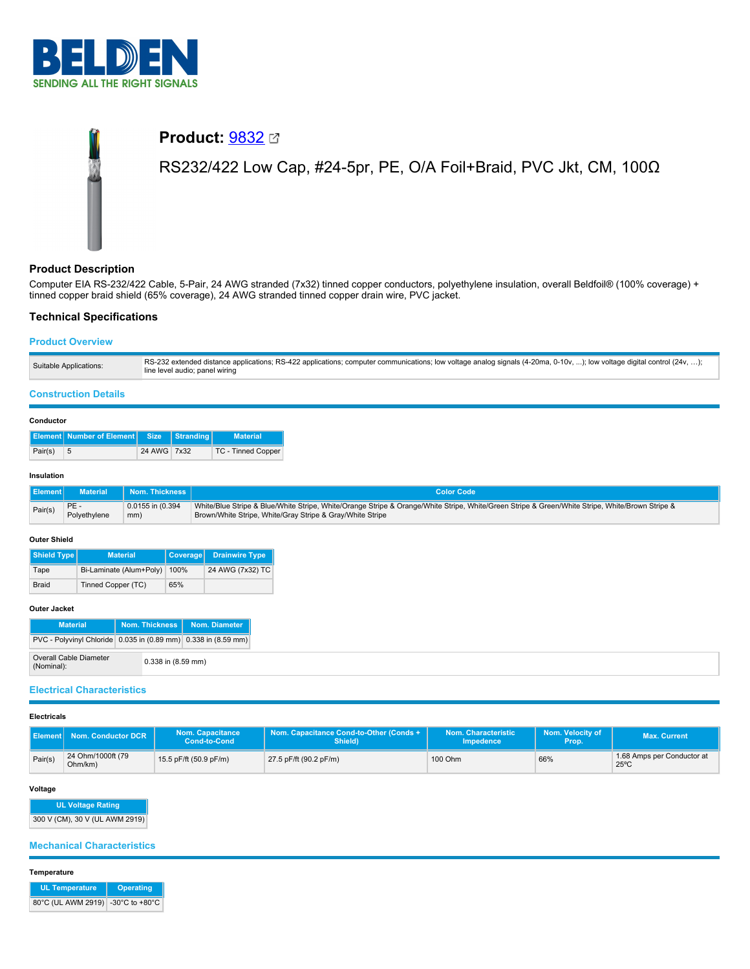

# **Product:** [9832](https://catalog.belden.com/index.cfm?event=pd&p=PF_9832&tab=downloads) RS232/422 Low Cap, #24-5pr, PE, O/A Foil+Braid, PVC Jkt, CM, 100Ω

# **Product Description**

Computer EIA RS-232/422 Cable, 5-Pair, 24 AWG stranded (7x32) tinned copper conductors, polyethylene insulation, overall Beldfoil® (100% coverage) + tinned copper braid shield (65% coverage), 24 AWG stranded tinned copper drain wire, PVC jacket.

# **Technical Specifications**

# **Product Overview**

| Suitable Applications: | RS-232 extended distance applications; RS-422 applications; computer communications; low voltage analog signals (4-20ma, 0-10v, ); low voltage digital control (24v, );<br>line level audio; panel wiring |
|------------------------|-----------------------------------------------------------------------------------------------------------------------------------------------------------------------------------------------------------|
|------------------------|-----------------------------------------------------------------------------------------------------------------------------------------------------------------------------------------------------------|

## **Construction Details**

## **Conductor**

|         | <b>Element Number of Element Size Stranding</b> |             | <b>Material</b>    |
|---------|-------------------------------------------------|-------------|--------------------|
| Pair(s) | - 5                                             | 24 AWG 7x32 | TC - Tinned Copper |

## **Insulation**

| <b>Element</b> | <b>Material</b> | <b>Nom. Thickness</b> | <b>Color Code</b>                                                                                                                               |
|----------------|-----------------|-----------------------|-------------------------------------------------------------------------------------------------------------------------------------------------|
| Pair(s)        | PE-             | 0.0155 in (0.394      | White/Blue Stripe & Blue/White Stripe, White/Orange Stripe & Orange/White Stripe, White/Green Stripe & Green/White Stripe, White/Brown Stripe & |
|                | Polyethylene    | mm)                   | Brown/White Stripe, White/Gray Stripe & Gray/White Stripe                                                                                       |

### **Outer Shield**

| Shield Type  | <b>Material</b>         | Coverage | <b>Drainwire Type</b> |
|--------------|-------------------------|----------|-----------------------|
| Tape         | Bi-Laminate (Alum+Poly) | 100%     | 24 AWG (7x32) TC      |
| <b>Braid</b> | Tinned Copper (TC)      |          |                       |

#### **Outer Jacket**

| <b>Material</b>                                                |                        | Nom. Thickness   Nom. Diameter |
|----------------------------------------------------------------|------------------------|--------------------------------|
| PVC - Polyvinyl Chloride 0.035 in (0.89 mm) 0.338 in (8.59 mm) |                        |                                |
| Overall Cable Diameter<br>(Nominal):                           | $0.338$ in $(8.59$ mm) |                                |

# **Electrical Characteristics**

# **Electricals**

|         | Element Nom. Conductor DCR   | <b>Nom. Capacitance</b><br>Cond-to-Cond | Nom. Capacitance Cond-to-Other (Conds +<br>Shield) | Nom. Characteristic<br>Impedence | Nom. Velocity of<br>Prop. | <b>Max. Current</b>                          |
|---------|------------------------------|-----------------------------------------|----------------------------------------------------|----------------------------------|---------------------------|----------------------------------------------|
| Pair(s) | 24 Ohm/1000ft (79<br>Ohm/km) | 15.5 pF/ft (50.9 pF/m)                  | 27.5 pF/ft (90.2 pF/m)                             | 100 Ohm                          | 66%                       | 1.68 Amps per Conductor at<br>$25^{\circ}$ C |

# **Voltage**

**UL Voltage Rating** 300 V (CM), 30 V (UL AWM 2919)

## **Mechanical Characteristics**

**Temperature**